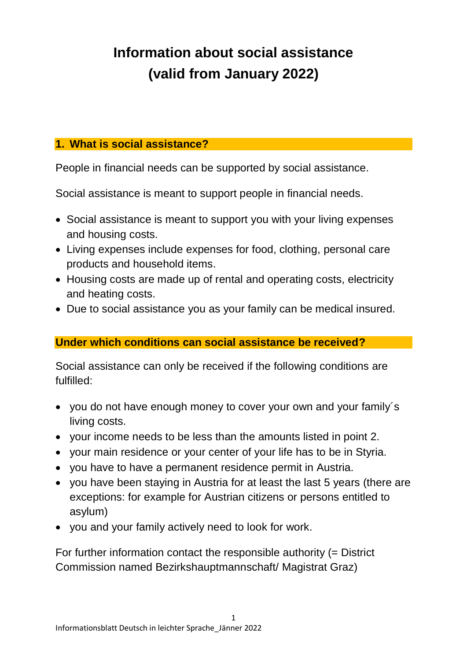# **Information about social assistance (valid from January 2022)**

### **1. What is social assistance?**

People in financial needs can be supported by social assistance.

Social assistance is meant to support people in financial needs.

- Social assistance is meant to support you with your living expenses and housing costs.
- Living expenses include expenses for food, clothing, personal care products and household items.
- Housing costs are made up of rental and operating costs, electricity and heating costs.
- Due to social assistance you as your family can be medical insured.

#### **Under which conditions can social assistance be received?**

Social assistance can only be received if the following conditions are fulfilled:

- you do not have enough money to cover your own and your family´s living costs.
- your income needs to be less than the amounts listed in point 2.
- your main residence or your center of your life has to be in Styria.
- you have to have a permanent residence permit in Austria.
- you have been staying in Austria for at least the last 5 years (there are exceptions: for example for Austrian citizens or persons entitled to asylum)
- you and your family actively need to look for work.

For further information contact the responsible authority (= District Commission named Bezirkshauptmannschaft/ Magistrat Graz)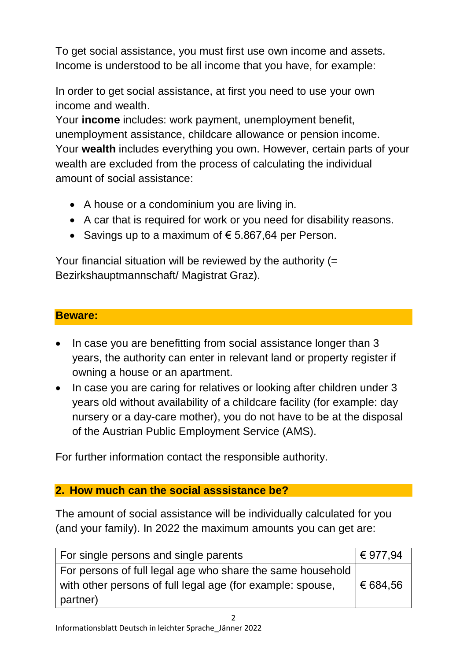To get social assistance, you must first use own income and assets. Income is understood to be all income that you have, for example:

In order to get social assistance, at first you need to use your own income and wealth.

Your **income** includes: work payment, unemployment benefit, unemployment assistance, childcare allowance or pension income. Your **wealth** includes everything you own. However, certain parts of your wealth are excluded from the process of calculating the individual amount of social assistance:

- A house or a condominium you are living in.
- A car that is required for work or you need for disability reasons.
- Savings up to a maximum of  $\epsilon$  5.867,64 per Person.

Your financial situation will be reviewed by the authority (= Bezirkshauptmannschaft/ Magistrat Graz).

## **Beware:**

- In case you are benefitting from social assistance longer than 3 years, the authority can enter in relevant land or property register if owning a house or an apartment.
- In case you are caring for relatives or looking after children under 3 years old without availability of a childcare facility (for example: day nursery or a day-care mother), you do not have to be at the disposal of the Austrian Public Employment Service (AMS).

For further information contact the responsible authority.

## **2. How much can the social asssistance be?**

The amount of social assistance will be individually calculated for you (and your family). In 2022 the maximum amounts you can get are:

| For single persons and single parents                      | ∣ € 977.94 |
|------------------------------------------------------------|------------|
| For persons of full legal age who share the same household |            |
| with other persons of full legal age (for example: spouse, | € 684,56   |
| partner)                                                   |            |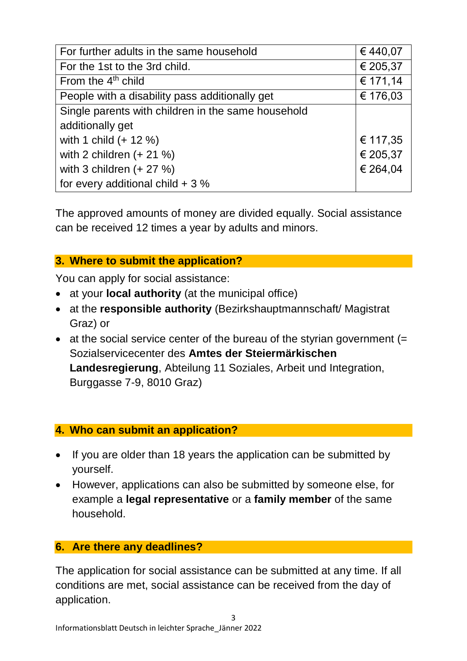| For further adults in the same household           | €440,07  |
|----------------------------------------------------|----------|
| For the 1st to the 3rd child.                      | € 205,37 |
| From the $4th$ child                               | € 171,14 |
| People with a disability pass additionally get     | € 176,03 |
| Single parents with children in the same household |          |
| additionally get                                   |          |
| with 1 child $(+ 12 %)$                            | € 117,35 |
| with 2 children $(+ 21 %)$                         | € 205,37 |
| with 3 children $(+ 27 %)$                         | € 264,04 |
| for every additional child $+3\%$                  |          |

The approved amounts of money are divided equally. Social assistance can be received 12 times a year by adults and minors.

## **3. Where to submit the application?**

You can apply for social assistance:

- at your **local authority** (at the municipal office)
- at the **responsible authority** (Bezirkshauptmannschaft/ Magistrat Graz) or
- $\bullet$  at the social service center of the bureau of the styrian government (= Sozialservicecenter des **Amtes der Steiermärkischen Landesregierung**, Abteilung 11 Soziales, Arbeit und Integration, Burggasse 7-9, 8010 Graz)

#### **4. Who can submit an application?**

- If you are older than 18 years the application can be submitted by yourself.
- However, applications can also be submitted by someone else, for example a **legal representative** or a **family member** of the same household.

#### **6. Are there any deadlines?**

The application for social assistance can be submitted at any time. If all conditions are met, social assistance can be received from the day of application.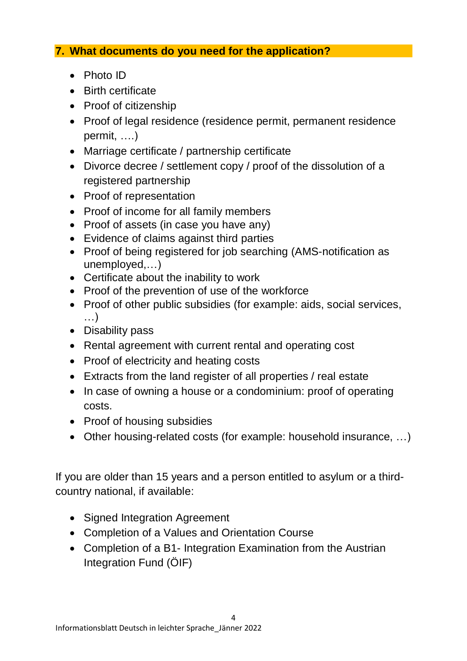## **7. What documents do you need for the application?**

- Photo ID
- Birth certificate
- Proof of citizenship
- Proof of legal residence (residence permit, permanent residence permit, ….)
- Marriage certificate / partnership certificate
- Divorce decree / settlement copy / proof of the dissolution of a registered partnership
- Proof of representation
- Proof of income for all family members
- Proof of assets (in case you have any)
- Evidence of claims against third parties
- Proof of being registered for job searching (AMS-notification as unemployed,…)
- Certificate about the inability to work
- Proof of the prevention of use of the workforce
- Proof of other public subsidies (for example: aids, social services, …)
- Disability pass
- Rental agreement with current rental and operating cost
- Proof of electricity and heating costs
- Extracts from the land register of all properties / real estate
- In case of owning a house or a condominium: proof of operating costs.
- Proof of housing subsidies
- Other housing-related costs (for example: household insurance, …)

If you are older than 15 years and a person entitled to asylum or a thirdcountry national, if available:

- Signed Integration Agreement
- Completion of a Values and Orientation Course
- Completion of a B1- Integration Examination from the Austrian Integration Fund (ÖIF)